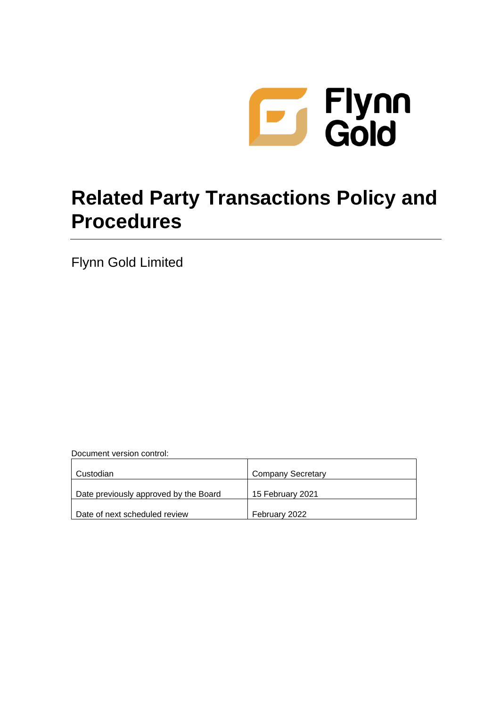

# **Related Party Transactions Policy and Procedures**

Flynn Gold Limited

Document version control:

| Custodian                             | <b>Company Secretary</b> |  |
|---------------------------------------|--------------------------|--|
| Date previously approved by the Board | 15 February 2021         |  |
| Date of next scheduled review         | February 2022            |  |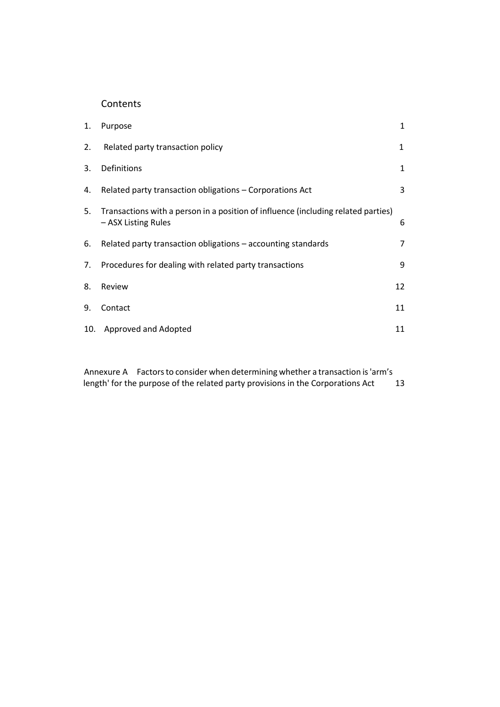# Contents

| 1. | Purpose                                                                                                  | $\mathbf{1}$ |
|----|----------------------------------------------------------------------------------------------------------|--------------|
| 2. | Related party transaction policy                                                                         | 1            |
| 3. | Definitions                                                                                              | 1            |
| 4. | Related party transaction obligations - Corporations Act                                                 | 3            |
| 5. | Transactions with a person in a position of influence (including related parties)<br>- ASX Listing Rules | 6            |
| 6. | Related party transaction obligations – accounting standards                                             | 7            |
| 7. | Procedures for dealing with related party transactions                                                   | 9            |
| 8. | Review                                                                                                   | 12           |
| 9. | Contact                                                                                                  | 11           |
|    | 10. Approved and Adopted                                                                                 | 11           |

Annexure A Factors to consider when determining whether a transaction is 'arm's length' for the purpose of the related party provisions in the Corporations Act 13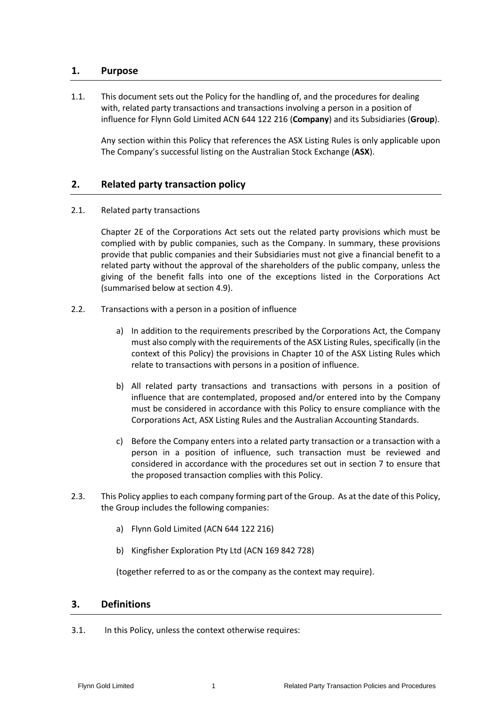# **1. Purpose**

1.1. This document sets out the Policy for the handling of, and the procedures for dealing with, related party transactions and transactions involving a person in a position of influence for Flynn Gold Limited ACN 644 122 216 (**Company**) and its Subsidiaries (**Group**).

Any section within this Policy that references the ASX Listing Rules is only applicable upon The Company's successful listing on the Australian Stock Exchange (**ASX**).

# **2. Related party transaction policy**

2.1. Related party transactions

Chapter 2E of the Corporations Act sets out the related party provisions which must be complied with by public companies, such as the Company. In summary, these provisions provide that public companies and their Subsidiaries must not give a financial benefit to a related party without the approval of the shareholders of the public company, unless the giving of the benefit falls into one of the exceptions listed in the Corporations Act (summarised below at section 4.9).

- 2.2. Transactions with a person in a position of influence
	- a) In addition to the requirements prescribed by the Corporations Act, the Company must also comply with the requirements of the ASX Listing Rules, specifically (in the context of this Policy) the provisions in Chapter 10 of the ASX Listing Rules which relate to transactions with persons in a position of influence.
	- b) All related party transactions and transactions with persons in a position of influence that are contemplated, proposed and/or entered into by the Company must be considered in accordance with this Policy to ensure compliance with the Corporations Act, ASX Listing Rules and the Australian Accounting Standards.
	- c) Before the Company enters into a related party transaction or a transaction with a person in a position of influence, such transaction must be reviewed and considered in accordance with the procedures set out in section 7 to ensure that the proposed transaction complies with this Policy.
- 2.3. This Policy applies to each company forming part of the Group. As at the date of this Policy, the Group includes the following companies:
	- a) Flynn Gold Limited (ACN 644 122 216)
	- b) Kingfisher Exploration Pty Ltd (ACN 169 842 728)

(together referred to as or the company as the context may require).

### **3. Definitions**

3.1. In this Policy, unless the context otherwise requires: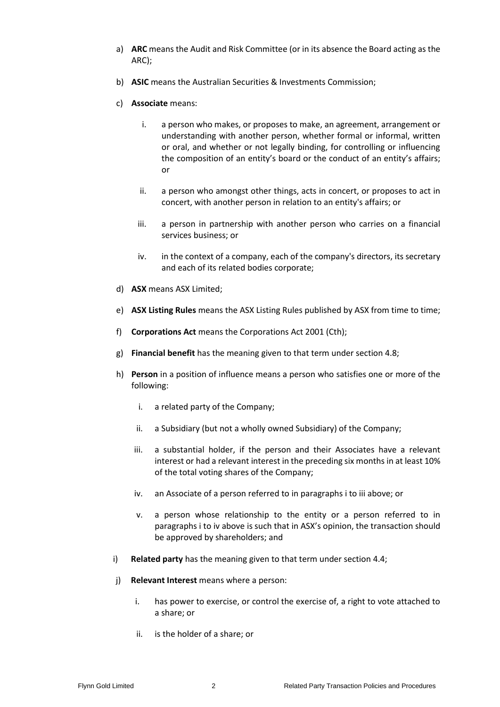- a) **ARC** means the Audit and Risk Committee (or in its absence the Board acting as the ARC);
- b) **ASIC** means the Australian Securities & Investments Commission;
- c) **Associate** means:
	- i. a person who makes, or proposes to make, an agreement, arrangement or understanding with another person, whether formal or informal, written or oral, and whether or not legally binding, for controlling or influencing the composition of an entity's board or the conduct of an entity's affairs; or
	- ii. a person who amongst other things, acts in concert, or proposes to act in concert, with another person in relation to an entity's affairs; or
	- iii. a person in partnership with another person who carries on a financial services business; or
	- iv. in the context of a company, each of the company's directors, its secretary and each of its related bodies corporate;
- d) **ASX** means ASX Limited;
- e) **ASX Listing Rules** means the ASX Listing Rules published by ASX from time to time;
- f) **Corporations Act** means the Corporations Act 2001 (Cth);
- g) **Financial benefit** has the meaning given to that term under sectio[n 4.8;](#page-5-0)
- <span id="page-3-1"></span><span id="page-3-0"></span>h) **Person** in a position of influence means a person who satisfies one or more of the following:
	- i. a related party of the Company;
	- ii. a Subsidiary (but not a wholly owned Subsidiary) of the Company;
	- iii. a substantial holder, if the person and their Associates have a relevant interest or had a relevant interest in the preceding six months in at least 10% of the total voting shares of the Company;
	- iv. an Associate of a person referred to in paragraph[s i](#page-3-0) t[o iii](#page-3-1) above; or
	- v. a person whose relationship to the entity or a person referred to in paragraphs [i](#page-3-0) to [iv](#page-3-2) above is such that in ASX's opinion, the transaction should be approved by shareholders; and
- <span id="page-3-2"></span>i) **Related party** has the meaning given to that term under section [4.4;](#page-4-0)
- j) **Relevant Interest** means where a person:
	- i. has power to exercise, or control the exercise of, a right to vote attached to a share; or
	- ii. is the holder of a share; or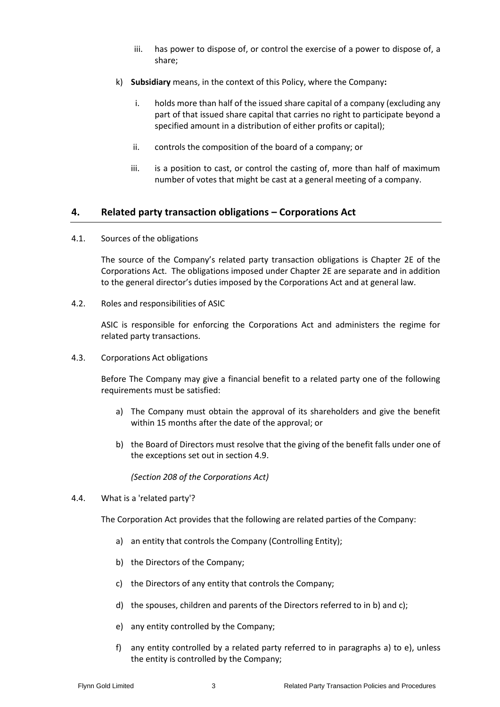- iii. has power to dispose of, or control the exercise of a power to dispose of, a share;
- k) **Subsidiary** means, in the context of this Policy, where the Company**:**
	- i. holds more than half of the issued share capital of a company (excluding any part of that issued share capital that carries no right to participate beyond a specified amount in a distribution of either profits or capital);
	- ii. controls the composition of the board of a company; or
	- iii. is a position to cast, or control the casting of, more than half of maximum number of votes that might be cast at a general meeting of a company.

# **4. Related party transaction obligations – Corporations Act**

4.1. Sources of the obligations

The source of the Company's related party transaction obligations is Chapter 2E of the Corporations Act. The obligations imposed under Chapter 2E are separate and in addition to the general director's duties imposed by the Corporations Act and at general law.

4.2. Roles and responsibilities of ASIC

ASIC is responsible for enforcing the Corporations Act and administers the regime for related party transactions.

4.3. Corporations Act obligations

Before The Company may give a financial benefit to a related party one of the following requirements must be satisfied:

- a) The Company must obtain the approval of its shareholders and give the benefit within 15 months after the date of the approval; or
- b) the Board of Directors must resolve that the giving of the benefit falls under one of the exceptions set out in sectio[n 4.9.](#page-5-1)

*(Section 208 of the Corporations Act)*

<span id="page-4-3"></span><span id="page-4-0"></span>4.4. What is a 'related party'?

<span id="page-4-1"></span>The Corporation Act provides that the following are related parties of the Company:

- a) an entity that controls the Company (Controlling Entity);
- b) the Directors of the Company;
- <span id="page-4-2"></span>c) the Directors of any entity that controls the Company;
- d) the spouses, children and parents of the Directors referred to in [b\)](#page-4-1) and [c\);](#page-4-2)
- <span id="page-4-5"></span><span id="page-4-4"></span>e) any entity controlled by the Company;
- f) any entity controlled by a related party referred to in paragraphs [a\)](#page-4-3) to [e\),](#page-4-4) unless the entity is controlled by the Company;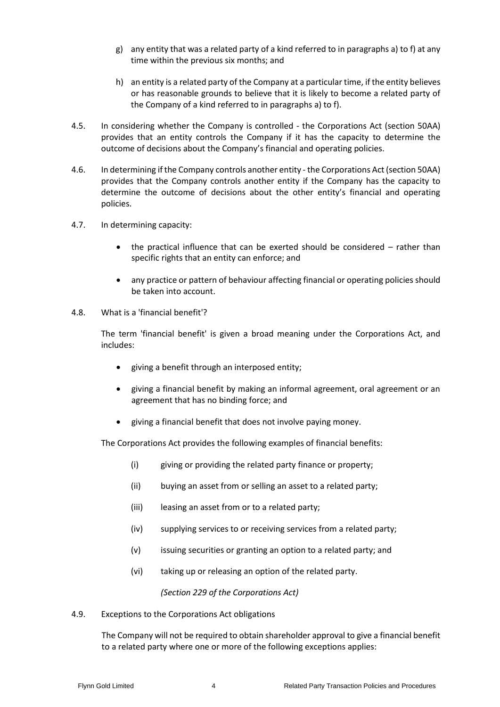- g) any entity that was a related party of a kind referred to in paragraph[s a\)](#page-4-3) t[o f\)](#page-4-5) at any time within the previous six months; and
- h) an entity is a related party of the Company at a particular time, if the entity believes or has reasonable grounds to believe that it is likely to become a related party of the Company of a kind referred to in paragraphs [a\)](#page-4-3) to [f\).](#page-4-5)
- 4.5. In considering whether the Company is controlled the Corporations Act (section 50AA) provides that an entity controls the Company if it has the capacity to determine the outcome of decisions about the Company's financial and operating policies.
- 4.6. In determining if the Company controls another entity the Corporations Act (section 50AA) provides that the Company controls another entity if the Company has the capacity to determine the outcome of decisions about the other entity's financial and operating policies.
- 4.7. In determining capacity:
	- the practical influence that can be exerted should be considered rather than specific rights that an entity can enforce; and
	- any practice or pattern of behaviour affecting financial or operating policies should be taken into account.
- <span id="page-5-0"></span>4.8. What is a 'financial benefit'?

The term 'financial benefit' is given a broad meaning under the Corporations Act, and includes:

- giving a benefit through an interposed entity;
- giving a financial benefit by making an informal agreement, oral agreement or an agreement that has no binding force; and
- giving a financial benefit that does not involve paying money.

The Corporations Act provides the following examples of financial benefits:

- (i) giving or providing the related party finance or property;
- (ii) buying an asset from or selling an asset to a related party;
- (iii) leasing an asset from or to a related party;
- (iv) supplying services to or receiving services from a related party;
- (v) issuing securities or granting an option to a related party; and
- (vi) taking up or releasing an option of the related party.

*(Section 229 of the Corporations Act)*

<span id="page-5-1"></span>4.9. Exceptions to the Corporations Act obligations

The Company will not be required to obtain shareholder approval to give a financial benefit to a related party where one or more of the following exceptions applies: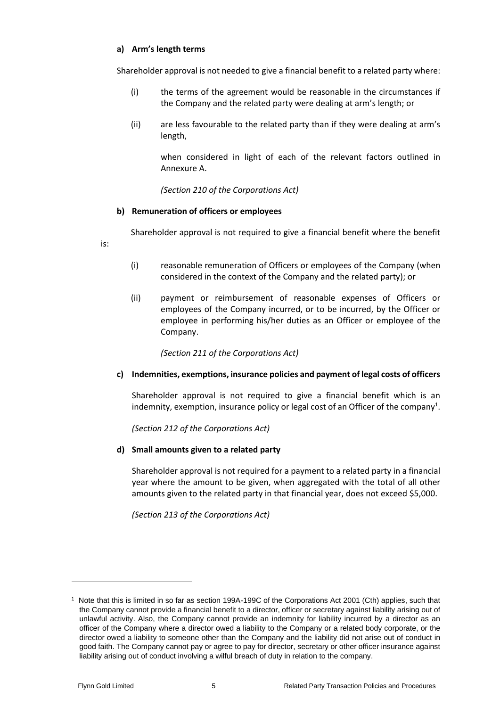#### **a) Arm's length terms**

Shareholder approval is not needed to give a financial benefit to a related party where:

- (i) the terms of the agreement would be reasonable in the circumstances if the Company and the related party were dealing at arm's length; or
- (ii) are less favourable to the related party than if they were dealing at arm's length,

when considered in light of each of the relevant factors outlined in Annexure A.

*(Section 210 of the Corporations Act)*

#### **b) Remuneration of officers or employees**

Shareholder approval is not required to give a financial benefit where the benefit

is:

- (i) reasonable remuneration of Officers or employees of the Company (when considered in the context of the Company and the related party); or
- (ii) payment or reimbursement of reasonable expenses of Officers or employees of the Company incurred, or to be incurred, by the Officer or employee in performing his/her duties as an Officer or employee of the Company.

*(Section 211 of the Corporations Act)*

### **c) Indemnities, exemptions, insurance policies and payment of legal costs of officers**

Shareholder approval is not required to give a financial benefit which is an indemnity, exemption, insurance policy or legal cost of an Officer of the company<sup>1</sup>.

*(Section 212 of the Corporations Act)*

#### **d) Small amounts given to a related party**

Shareholder approval is not required for a payment to a related party in a financial year where the amount to be given, when aggregated with the total of all other amounts given to the related party in that financial year, does not exceed \$5,000.

*(Section 213 of the Corporations Act)*

<sup>1</sup> Note that this is limited in so far as section 199A-199C of the Corporations Act 2001 (Cth) applies, such that the Company cannot provide a financial benefit to a director, officer or secretary against liability arising out of unlawful activity. Also, the Company cannot provide an indemnity for liability incurred by a director as an officer of the Company where a director owed a liability to the Company or a related body corporate, or the director owed a liability to someone other than the Company and the liability did not arise out of conduct in good faith. The Company cannot pay or agree to pay for director, secretary or other officer insurance against liability arising out of conduct involving a wilful breach of duty in relation to the company.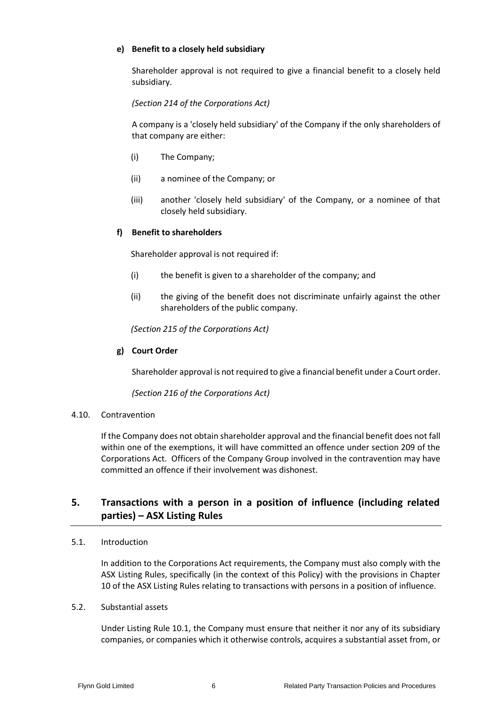#### **e) Benefit to a closely held subsidiary**

Shareholder approval is not required to give a financial benefit to a closely held subsidiary.

*(Section 214 of the Corporations Act)*

A company is a 'closely held subsidiary' of the Company if the only shareholders of that company are either:

- (i) The Company;
- (ii) a nominee of the Company; or
- (iii) another 'closely held subsidiary' of the Company, or a nominee of that closely held subsidiary.

#### **f) Benefit to shareholders**

Shareholder approval is not required if:

- (i) the benefit is given to a shareholder of the company; and
- (ii) the giving of the benefit does not discriminate unfairly against the other shareholders of the public company.

*(Section 215 of the Corporations Act)*

#### **g) Court Order**

Shareholder approval is not required to give a financial benefit under a Court order.

*(Section 216 of the Corporations Act)*

#### 4.10. Contravention

If the Company does not obtain shareholder approval and the financial benefit does not fall within one of the exemptions, it will have committed an offence under section 209 of the Corporations Act. Officers of the Company Group involved in the contravention may have committed an offence if their involvement was dishonest.

# **5. Transactions with a person in a position of influence (including related parties) – ASX Listing Rules**

#### 5.1. Introduction

In addition to the Corporations Act requirements, the Company must also comply with the ASX Listing Rules, specifically (in the context of this Policy) with the provisions in Chapter 10 of the ASX Listing Rules relating to transactions with persons in a position of influence.

#### <span id="page-7-0"></span>5.2. Substantial assets

Under Listing Rule 10.1, the Company must ensure that neither it nor any of its subsidiary companies, or companies which it otherwise controls, acquires a substantial asset from, or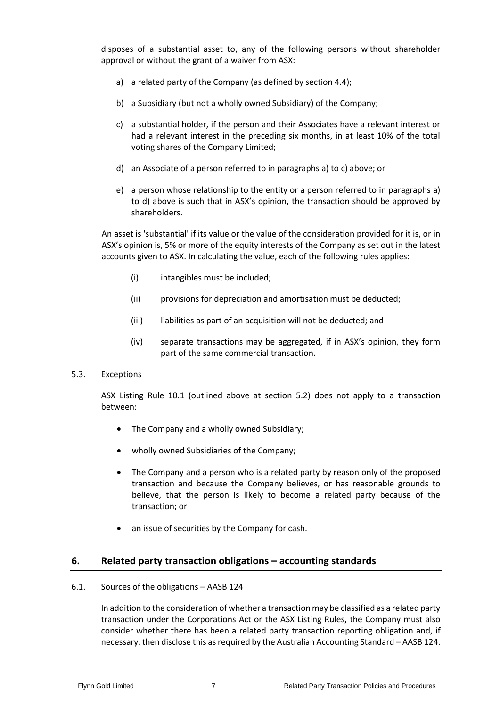<span id="page-8-0"></span>disposes of a substantial asset to, any of the following persons without shareholder approval or without the grant of a waiver from ASX:

- a) a related party of the Company (as defined by sectio[n 4.4\)](#page-4-0);
- b) a Subsidiary (but not a wholly owned Subsidiary) of the Company;
- <span id="page-8-1"></span>c) a substantial holder, if the person and their Associates have a relevant interest or had a relevant interest in the preceding six months, in at least 10% of the total voting shares of the Company Limited;
- <span id="page-8-2"></span>d) an Associate of a person referred to in paragraphs [a\)](#page-8-0) to [c\)](#page-8-1) above; or
- e) a person whose relationship to the entity or a person referred to in paragraphs [a\)](#page-8-0) to [d\)](#page-8-2) above is such that in ASX's opinion, the transaction should be approved by shareholders.

An asset is 'substantial' if its value or the value of the consideration provided for it is, or in ASX's opinion is, 5% or more of the equity interests of the Company as set out in the latest accounts given to ASX. In calculating the value, each of the following rules applies:

- (i) intangibles must be included;
- (ii) provisions for depreciation and amortisation must be deducted;
- (iii) liabilities as part of an acquisition will not be deducted; and
- (iv) separate transactions may be aggregated, if in ASX's opinion, they form part of the same commercial transaction.
- 5.3. Exceptions

ASX Listing Rule 10.1 (outlined above at section [5.2\)](#page-7-0) does not apply to a transaction between:

- The Company and a wholly owned Subsidiary;
- wholly owned Subsidiaries of the Company;
- The Company and a person who is a related party by reason only of the proposed transaction and because the Company believes, or has reasonable grounds to believe, that the person is likely to become a related party because of the transaction; or
- an issue of securities by the Company for cash.

### **6. Related party transaction obligations – accounting standards**

#### 6.1. Sources of the obligations – AASB 124

In addition to the consideration of whether a transaction may be classified as a related party transaction under the Corporations Act or the ASX Listing Rules, the Company must also consider whether there has been a related party transaction reporting obligation and, if necessary, then disclose this as required by the Australian Accounting Standard – AASB 124.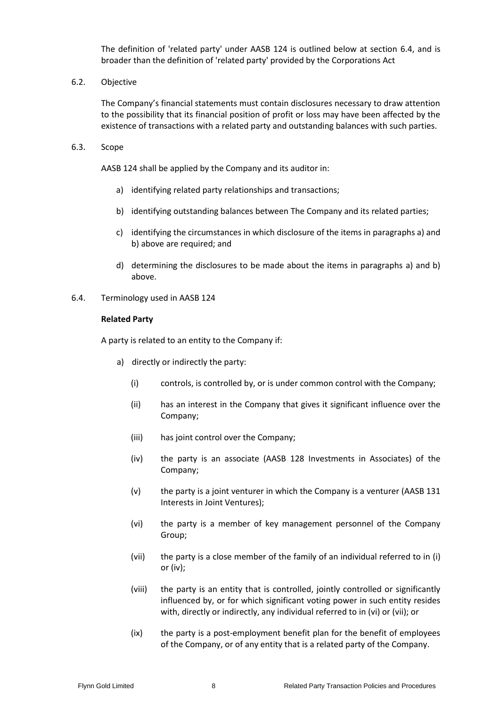The definition of 'related party' under AASB 124 is outlined below at section [6.4,](#page-9-0) and is broader than the definition of 'related party' provided by the Corporations Act

6.2. Objective

The Company's financial statements must contain disclosures necessary to draw attention to the possibility that its financial position of profit or loss may have been affected by the existence of transactions with a related party and outstanding balances with such parties.

6.3. Scope

AASB 124 shall be applied by the Company and its auditor in:

- a) identifying related party relationships and transactions;
- b) identifying outstanding balances between The Company and its related parties;
- c) identifying the circumstances in which disclosure of the items in paragraphs a) and b) above are required; and
- d) determining the disclosures to be made about the items in paragraphs a) and b) above.
- <span id="page-9-0"></span>6.4. Terminology used in AASB 124

#### **Related Party**

<span id="page-9-1"></span>A party is related to an entity to the Company if:

- <span id="page-9-4"></span><span id="page-9-3"></span><span id="page-9-2"></span>a) directly or indirectly the party:
	- (i) controls, is controlled by, or is under common control with the Company;
	- (ii) has an interest in the Company that gives it significant influence over the Company;
	- (iii) has joint control over the Company;
	- (iv) the party is an associate (AASB 128 Investments in Associates) of the Company;
	- (v) the party is a joint venturer in which the Company is a venturer (AASB 131 Interests in Joint Ventures);
	- (vi) the party is a member of key management personnel of the Company Group;
	- (vii) the party is a close member of the family of an individual referred to in [\(i\)](#page-9-1) o[r \(iv\);](#page-9-2)
	- (viii) the party is an entity that is controlled, jointly controlled or significantly influenced by, or for which significant voting power in such entity resides with, directly or indirectly, any individual referred to in [\(vi\)](#page-9-3) or [\(vii\);](#page-9-4) or
	- (ix) the party is a post-employment benefit plan for the benefit of employees of the Company, or of any entity that is a related party of the Company.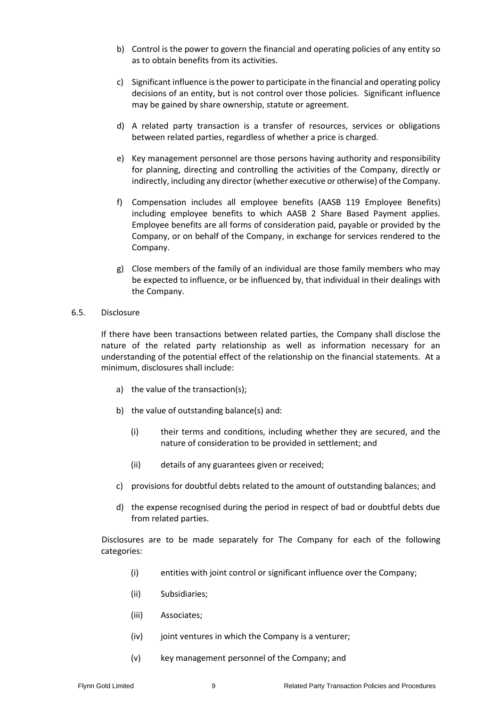- b) Control is the power to govern the financial and operating policies of any entity so as to obtain benefits from its activities.
- c) Significant influence is the power to participate in the financial and operating policy decisions of an entity, but is not control over those policies. Significant influence may be gained by share ownership, statute or agreement.
- d) A related party transaction is a transfer of resources, services or obligations between related parties, regardless of whether a price is charged.
- e) Key management personnel are those persons having authority and responsibility for planning, directing and controlling the activities of the Company, directly or indirectly, including any director (whether executive or otherwise) of the Company.
- f) Compensation includes all employee benefits (AASB 119 Employee Benefits) including employee benefits to which AASB 2 Share Based Payment applies. Employee benefits are all forms of consideration paid, payable or provided by the Company, or on behalf of the Company, in exchange for services rendered to the Company.
- g) Close members of the family of an individual are those family members who may be expected to influence, or be influenced by, that individual in their dealings with the Company.
- 6.5. Disclosure

If there have been transactions between related parties, the Company shall disclose the nature of the related party relationship as well as information necessary for an understanding of the potential effect of the relationship on the financial statements. At a minimum, disclosures shall include:

- a) the value of the transaction(s);
- b) the value of outstanding balance(s) and:
	- (i) their terms and conditions, including whether they are secured, and the nature of consideration to be provided in settlement; and
	- (ii) details of any guarantees given or received;
- c) provisions for doubtful debts related to the amount of outstanding balances; and
- d) the expense recognised during the period in respect of bad or doubtful debts due from related parties.

Disclosures are to be made separately for The Company for each of the following categories:

- (i) entities with joint control or significant influence over the Company;
- (ii) Subsidiaries;
- (iii) Associates;
- (iv) joint ventures in which the Company is a venturer;
- (v) key management personnel of the Company; and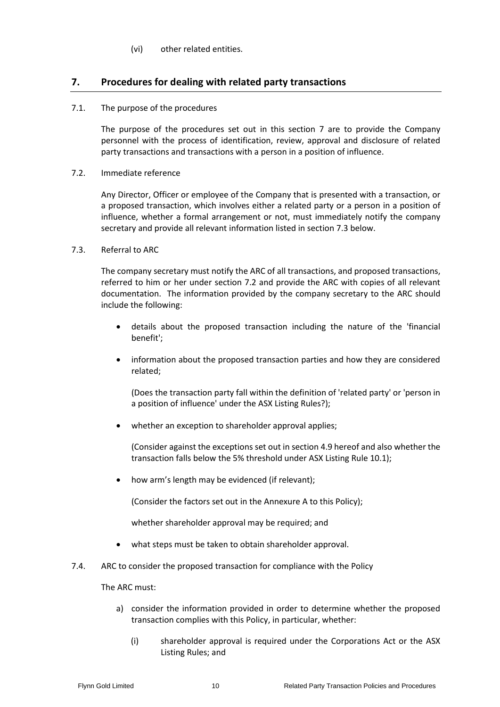#### (vi) other related entities.

# **7. Procedures for dealing with related party transactions**

7.1. The purpose of the procedures

The purpose of the procedures set out in this section 7 are to provide the Company personnel with the process of identification, review, approval and disclosure of related party transactions and transactions with a person in a position of influence.

<span id="page-11-1"></span>7.2. Immediate reference

Any Director, Officer or employee of the Company that is presented with a transaction, or a proposed transaction, which involves either a related party or a person in a position of influence, whether a formal arrangement or not, must immediately notify the company secretary and provide all relevant information listed in sectio[n 7.3](#page-11-0) below.

#### <span id="page-11-0"></span>7.3. Referral to ARC

The company secretary must notify the ARC of all transactions, and proposed transactions, referred to him or her under section [7.2](#page-11-1) and provide the ARC with copies of all relevant documentation. The information provided by the company secretary to the ARC should include the following:

- details about the proposed transaction including the nature of the 'financial benefit';
- information about the proposed transaction parties and how they are considered related;

(Does the transaction party fall within the definition of 'related party' or 'person in a position of influence' under the ASX Listing Rules?);

• whether an exception to shareholder approval applies;

(Consider against the exceptions set out in section [4.9](#page-5-1) hereof and also whether the transaction falls below the 5% threshold under ASX Listing Rule 10.1);

how arm's length may be evidenced (if relevant);

(Consider the factors set out in the Annexure A to this Policy);

whether shareholder approval may be required; and

- what steps must be taken to obtain shareholder approval.
- 7.4. ARC to consider the proposed transaction for compliance with the Policy

The ARC must:

- a) consider the information provided in order to determine whether the proposed transaction complies with this Policy, in particular, whether:
	- (i) shareholder approval is required under the Corporations Act or the ASX Listing Rules; and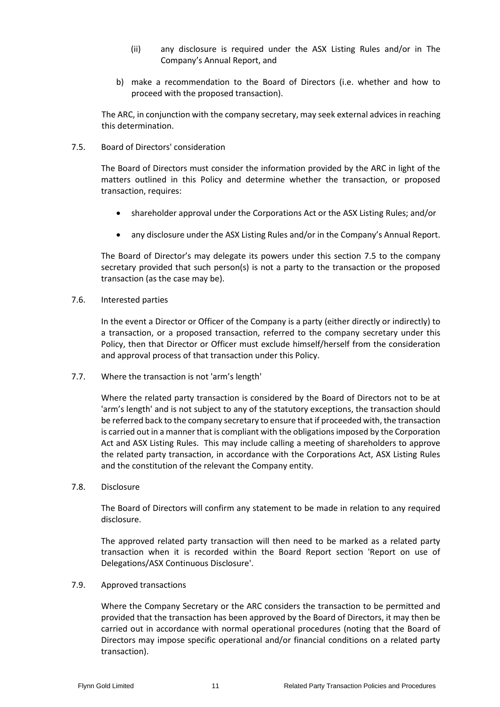- (ii) any disclosure is required under the ASX Listing Rules and/or in The Company's Annual Report, and
- b) make a recommendation to the Board of Directors (i.e. whether and how to proceed with the proposed transaction).

The ARC, in conjunction with the company secretary, may seek external advices in reaching this determination.

<span id="page-12-0"></span>7.5. Board of Directors' consideration

The Board of Directors must consider the information provided by the ARC in light of the matters outlined in this Policy and determine whether the transaction, or proposed transaction, requires:

- shareholder approval under the Corporations Act or the ASX Listing Rules; and/or
- any disclosure under the ASX Listing Rules and/or in the Company's Annual Report.

The Board of Director's may delegate its powers under this section [7.5](#page-12-0) to the company secretary provided that such person(s) is not a party to the transaction or the proposed transaction (as the case may be).

7.6. Interested parties

In the event a Director or Officer of the Company is a party (either directly or indirectly) to a transaction, or a proposed transaction, referred to the company secretary under this Policy, then that Director or Officer must exclude himself/herself from the consideration and approval process of that transaction under this Policy.

7.7. Where the transaction is not 'arm's length'

Where the related party transaction is considered by the Board of Directors not to be at 'arm's length' and is not subject to any of the statutory exceptions, the transaction should be referred back to the company secretary to ensure that if proceeded with, the transaction is carried out in a manner that is compliant with the obligations imposed by the Corporation Act and ASX Listing Rules. This may include calling a meeting of shareholders to approve the related party transaction, in accordance with the Corporations Act, ASX Listing Rules and the constitution of the relevant the Company entity.

7.8. Disclosure

The Board of Directors will confirm any statement to be made in relation to any required disclosure.

The approved related party transaction will then need to be marked as a related party transaction when it is recorded within the Board Report section 'Report on use of Delegations/ASX Continuous Disclosure'.

7.9. Approved transactions

Where the Company Secretary or the ARC considers the transaction to be permitted and provided that the transaction has been approved by the Board of Directors, it may then be carried out in accordance with normal operational procedures (noting that the Board of Directors may impose specific operational and/or financial conditions on a related party transaction).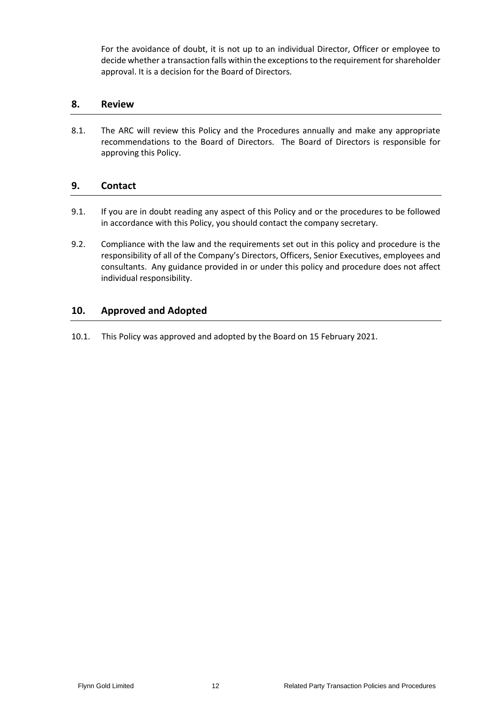For the avoidance of doubt, it is not up to an individual Director, Officer or employee to decide whether a transaction falls within the exceptions to the requirement for shareholder approval. It is a decision for the Board of Directors.

# **8. Review**

8.1. The ARC will review this Policy and the Procedures annually and make any appropriate recommendations to the Board of Directors. The Board of Directors is responsible for approving this Policy.

# **9. Contact**

- 9.1. If you are in doubt reading any aspect of this Policy and or the procedures to be followed in accordance with this Policy, you should contact the company secretary.
- 9.2. Compliance with the law and the requirements set out in this policy and procedure is the responsibility of all of the Company's Directors, Officers, Senior Executives, employees and consultants. Any guidance provided in or under this policy and procedure does not affect individual responsibility.

# **10. Approved and Adopted**

10.1. This Policy was approved and adopted by the Board on 15 February 2021.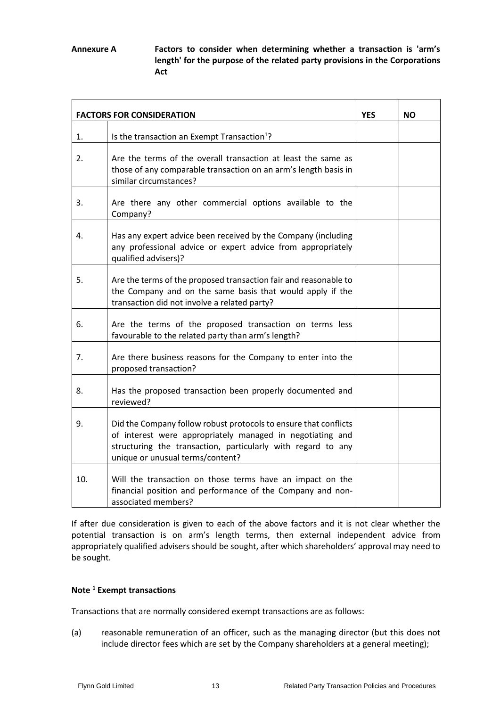**Annexure A Factors to consider when determining whether a transaction is 'arm's length' for the purpose of the related party provisions in the Corporations Act**

| <b>FACTORS FOR CONSIDERATION</b> |                                                                                                                                                                                                                                   | <b>YES</b> | <b>NO</b> |
|----------------------------------|-----------------------------------------------------------------------------------------------------------------------------------------------------------------------------------------------------------------------------------|------------|-----------|
| 1.                               | Is the transaction an Exempt Transaction <sup>1</sup> ?                                                                                                                                                                           |            |           |
| 2.                               | Are the terms of the overall transaction at least the same as<br>those of any comparable transaction on an arm's length basis in<br>similar circumstances?                                                                        |            |           |
| 3.                               | Are there any other commercial options available to the<br>Company?                                                                                                                                                               |            |           |
| 4.                               | Has any expert advice been received by the Company (including<br>any professional advice or expert advice from appropriately<br>qualified advisers)?                                                                              |            |           |
| 5.                               | Are the terms of the proposed transaction fair and reasonable to<br>the Company and on the same basis that would apply if the<br>transaction did not involve a related party?                                                     |            |           |
| 6.                               | Are the terms of the proposed transaction on terms less<br>favourable to the related party than arm's length?                                                                                                                     |            |           |
| 7.                               | Are there business reasons for the Company to enter into the<br>proposed transaction?                                                                                                                                             |            |           |
| 8.                               | Has the proposed transaction been properly documented and<br>reviewed?                                                                                                                                                            |            |           |
| 9.                               | Did the Company follow robust protocols to ensure that conflicts<br>of interest were appropriately managed in negotiating and<br>structuring the transaction, particularly with regard to any<br>unique or unusual terms/content? |            |           |
| 10.                              | Will the transaction on those terms have an impact on the<br>financial position and performance of the Company and non-<br>associated members?                                                                                    |            |           |

If after due consideration is given to each of the above factors and it is not clear whether the potential transaction is on arm's length terms, then external independent advice from appropriately qualified advisers should be sought, after which shareholders' approval may need to be sought.

#### **Note <sup>1</sup> Exempt transactions**

Transactions that are normally considered exempt transactions are as follows:

(a) reasonable remuneration of an officer, such as the managing director (but this does not include director fees which are set by the Company shareholders at a general meeting);